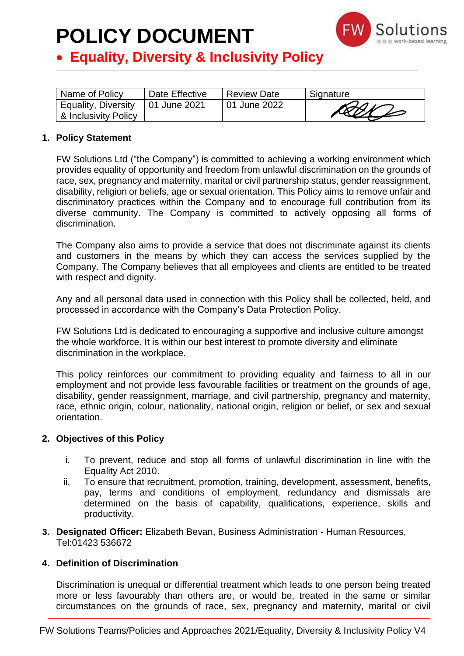

### • **Equality, Diversity & Inclusivity Policy**

| Name of Policy                                             | Date Effective | <b>Review Date</b> | Signature |
|------------------------------------------------------------|----------------|--------------------|-----------|
| Equality, Diversity   01 June 2021<br>& Inclusivity Policy |                | 01 June 2022       | RANZ      |

#### **1. Policy Statement**

FW Solutions Ltd ("the Company") is committed to achieving a working environment which provides equality of opportunity and freedom from unlawful discrimination on the grounds of race, sex, pregnancy and maternity, marital or civil partnership status, gender reassignment, disability, religion or beliefs, age or sexual orientation. This Policy aims to remove unfair and discriminatory practices within the Company and to encourage full contribution from its diverse community. The Company is committed to actively opposing all forms of discrimination.

The Company also aims to provide a service that does not discriminate against its clients and customers in the means by which they can access the services supplied by the Company. The Company believes that all employees and clients are entitled to be treated with respect and dignity.

Any and all personal data used in connection with this Policy shall be collected, held, and processed in accordance with the Company's Data Protection Policy.

FW Solutions Ltd is dedicated to encouraging a supportive and inclusive culture amongst the whole workforce. It is within our best interest to promote diversity and eliminate discrimination in the workplace.

This policy reinforces our commitment to providing equality and fairness to all in our employment and not provide less favourable facilities or treatment on the grounds of age, disability, gender reassignment, marriage, and civil partnership, pregnancy and maternity, race, ethnic origin, colour, nationality, national origin, religion or belief, or sex and sexual orientation.

#### **2. Objectives of this Policy**

- i. To prevent, reduce and stop all forms of unlawful discrimination in line with the Equality Act 2010.
- ii. To ensure that recruitment, promotion, training, development, assessment, benefits, pay, terms and conditions of employment, redundancy and dismissals are determined on the basis of capability, qualifications, experience, skills and productivity.
- **3. Designated Officer:** Elizabeth Bevan, Business Administration Human Resources, Tel:01423 536672

#### **4. Definition of Discrimination**

Discrimination is unequal or differential treatment which leads to one person being treated more or less favourably than others are, or would be, treated in the same or similar circumstances on the grounds of race, sex, pregnancy and maternity, marital or civil

FW Solutions Teams/Policies and Approaches 2021/Equality, Diversity & Inclusivity Policy V4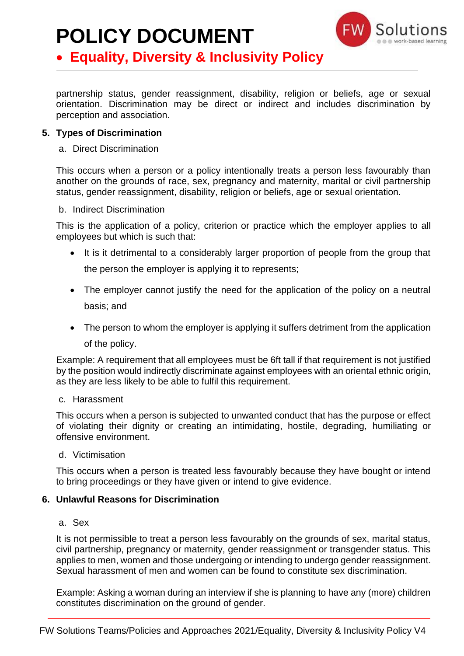

### • **Equality, Diversity & Inclusivity Policy**

partnership status, gender reassignment, disability, religion or beliefs, age or sexual orientation. Discrimination may be direct or indirect and includes discrimination by perception and association.

#### **5. Types of Discrimination**

#### a. Direct Discrimination

This occurs when a person or a policy intentionally treats a person less favourably than another on the grounds of race, sex, pregnancy and maternity, marital or civil partnership status, gender reassignment, disability, religion or beliefs, age or sexual orientation.

#### b. Indirect Discrimination

This is the application of a policy, criterion or practice which the employer applies to all employees but which is such that:

• It is it detrimental to a considerably larger proportion of people from the group that

the person the employer is applying it to represents;

- The employer cannot justify the need for the application of the policy on a neutral basis; and
- The person to whom the employer is applying it suffers detriment from the application of the policy.

Example: A requirement that all employees must be 6ft tall if that requirement is not justified by the position would indirectly discriminate against employees with an oriental ethnic origin, as they are less likely to be able to fulfil this requirement.

c. Harassment

This occurs when a person is subjected to unwanted conduct that has the purpose or effect of violating their dignity or creating an intimidating, hostile, degrading, humiliating or offensive environment.

d. Victimisation

This occurs when a person is treated less favourably because they have bought or intend to bring proceedings or they have given or intend to give evidence.

#### **6. Unlawful Reasons for Discrimination**

#### a. Sex

It is not permissible to treat a person less favourably on the grounds of sex, marital status, civil partnership, pregnancy or maternity, gender reassignment or transgender status. This applies to men, women and those undergoing or intending to undergo gender reassignment. Sexual harassment of men and women can be found to constitute sex discrimination.

Example: Asking a woman during an interview if she is planning to have any (more) children constitutes discrimination on the ground of gender.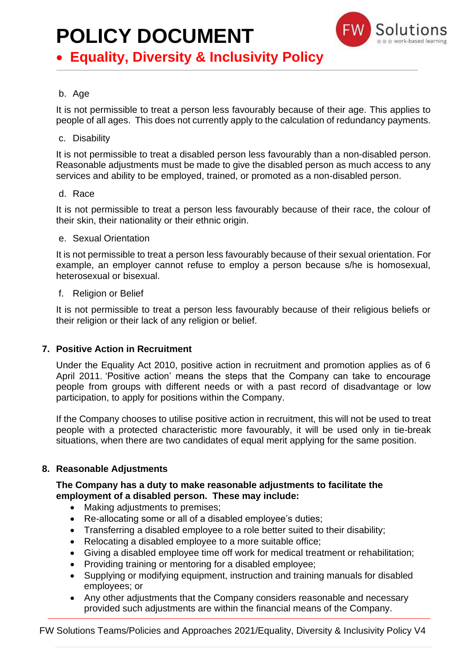

### • **Equality, Diversity & Inclusivity Policy**

#### b. Age

It is not permissible to treat a person less favourably because of their age. This applies to people of all ages. This does not currently apply to the calculation of redundancy payments.

#### c. Disability

It is not permissible to treat a disabled person less favourably than a non-disabled person. Reasonable adjustments must be made to give the disabled person as much access to any services and ability to be employed, trained, or promoted as a non-disabled person.

#### d. Race

It is not permissible to treat a person less favourably because of their race, the colour of their skin, their nationality or their ethnic origin.

#### e. Sexual Orientation

It is not permissible to treat a person less favourably because of their sexual orientation. For example, an employer cannot refuse to employ a person because s/he is homosexual, heterosexual or bisexual.

#### f. Religion or Belief

It is not permissible to treat a person less favourably because of their religious beliefs or their religion or their lack of any religion or belief.

#### **7. Positive Action in Recruitment**

Under the Equality Act 2010, positive action in recruitment and promotion applies as of 6 April 2011. 'Positive action' means the steps that the Company can take to encourage people from groups with different needs or with a past record of disadvantage or low participation, to apply for positions within the Company.

If the Company chooses to utilise positive action in recruitment, this will not be used to treat people with a protected characteristic more favourably, it will be used only in tie-break situations, when there are two candidates of equal merit applying for the same position.

#### **8. Reasonable Adjustments**

#### **The Company has a duty to make reasonable adjustments to facilitate the employment of a disabled person. These may include:**

- Making adjustments to premises;
- Re-allocating some or all of a disabled employee's duties;
- Transferring a disabled employee to a role better suited to their disability;
- Relocating a disabled employee to a more suitable office;
- Giving a disabled employee time off work for medical treatment or rehabilitation;
- Providing training or mentoring for a disabled employee;
- Supplying or modifying equipment, instruction and training manuals for disabled employees; or
- Any other adjustments that the Company considers reasonable and necessary provided such adjustments are within the financial means of the Company.

FW Solutions Teams/Policies and Approaches 2021/Equality, Diversity & Inclusivity Policy V4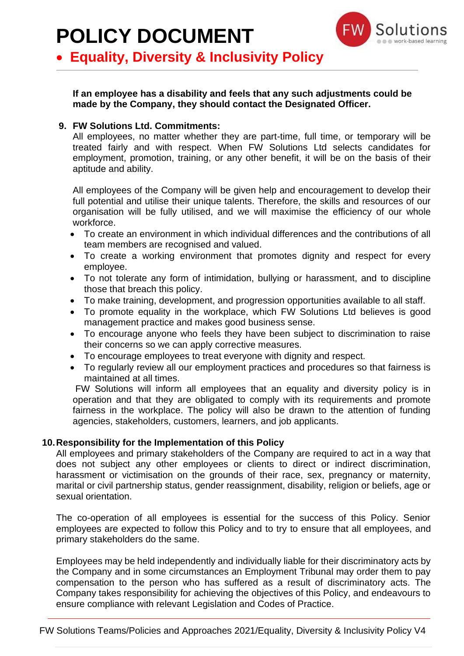

### • **Equality, Diversity & Inclusivity Policy**

**If an employee has a disability and feels that any such adjustments could be made by the Company, they should contact the Designated Officer.**

#### **9. FW Solutions Ltd. Commitments:**

All employees, no matter whether they are part-time, full time, or temporary will be treated fairly and with respect. When FW Solutions Ltd selects candidates for employment, promotion, training, or any other benefit, it will be on the basis of their aptitude and ability.

All employees of the Company will be given help and encouragement to develop their full potential and utilise their unique talents. Therefore, the skills and resources of our organisation will be fully utilised, and we will maximise the efficiency of our whole workforce.

- To create an environment in which individual differences and the contributions of all team members are recognised and valued.
- To create a working environment that promotes dignity and respect for every employee.
- To not tolerate any form of intimidation, bullying or harassment, and to discipline those that breach this policy.
- To make training, development, and progression opportunities available to all staff.
- To promote equality in the workplace, which FW Solutions Ltd believes is good management practice and makes good business sense.
- To encourage anyone who feels they have been subject to discrimination to raise their concerns so we can apply corrective measures.
- To encourage employees to treat everyone with dignity and respect.
- To regularly review all our employment practices and procedures so that fairness is maintained at all times.

FW Solutions will inform all employees that an equality and diversity policy is in operation and that they are obligated to comply with its requirements and promote fairness in the workplace. The policy will also be drawn to the attention of funding agencies, stakeholders, customers, learners, and job applicants.

#### **10.Responsibility for the Implementation of this Policy**

All employees and primary stakeholders of the Company are required to act in a way that does not subject any other employees or clients to direct or indirect discrimination, harassment or victimisation on the grounds of their race, sex, pregnancy or maternity, marital or civil partnership status, gender reassignment, disability, religion or beliefs, age or sexual orientation.

The co-operation of all employees is essential for the success of this Policy. Senior employees are expected to follow this Policy and to try to ensure that all employees, and primary stakeholders do the same.

Employees may be held independently and individually liable for their discriminatory acts by the Company and in some circumstances an Employment Tribunal may order them to pay compensation to the person who has suffered as a result of discriminatory acts. The Company takes responsibility for achieving the objectives of this Policy, and endeavours to ensure compliance with relevant Legislation and Codes of Practice.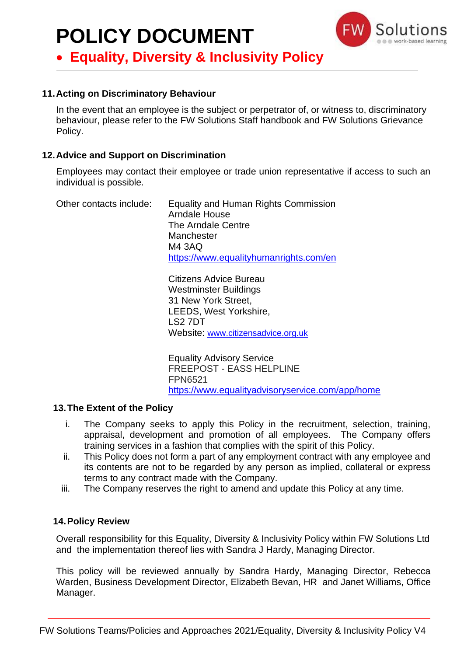

• **Equality, Diversity & Inclusivity Policy**

#### **11.Acting on Discriminatory Behaviour**

In the event that an employee is the subject or perpetrator of, or witness to, discriminatory behaviour, please refer to the FW Solutions Staff handbook and FW Solutions Grievance Policy.

#### **12.Advice and Support on Discrimination**

Employees may contact their employee or trade union representative if access to such an individual is possible.

Other contacts include: Equality and Human Rights Commission Arndale House The Arndale Centre **Manchester** M4 3AQ <https://www.equalityhumanrights.com/en>

> Citizens Advice Bureau Westminster Buildings 31 New York Street, LEEDS, West Yorkshire, LS2 7DT Website: [www.citizensadvice.org.uk](http://www.citizensadvice.org.uk/)

Equality Advisory Service FREEPOST - EASS HELPLINE FPN6521 <https://www.equalityadvisoryservice.com/app/home>

#### **13.The Extent of the Policy**

- i. The Company seeks to apply this Policy in the recruitment, selection, training, appraisal, development and promotion of all employees. The Company offers training services in a fashion that complies with the spirit of this Policy.
- ii. This Policy does not form a part of any employment contract with any employee and its contents are not to be regarded by any person as implied, collateral or express terms to any contract made with the Company.
- iii. The Company reserves the right to amend and update this Policy at any time.

#### **14.Policy Review**

Overall responsibility for this Equality, Diversity & Inclusivity Policy within FW Solutions Ltd and the implementation thereof lies with Sandra J Hardy, Managing Director.

This policy will be reviewed annually by Sandra Hardy, Managing Director, Rebecca Warden, Business Development Director, Elizabeth Bevan, HR and Janet Williams, Office Manager.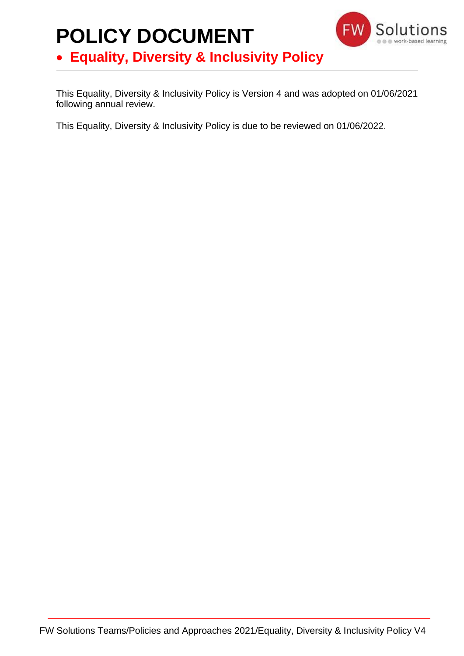### **POLICY DOCUMENT** • **Equality, Diversity & Inclusivity Policy**



This Equality, Diversity & Inclusivity Policy is Version 4 and was adopted on 01/06/2021 following annual review.

This Equality, Diversity & Inclusivity Policy is due to be reviewed on 01/06/2022.